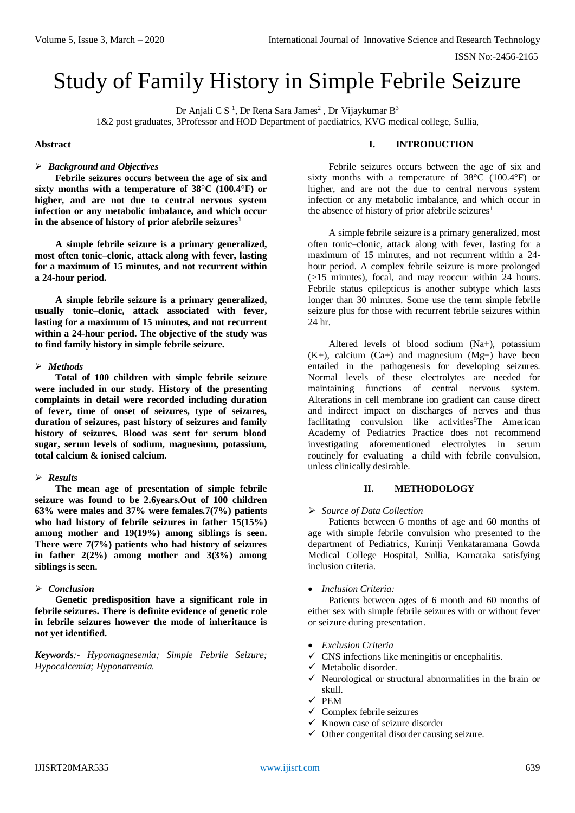# Study of Family History in Simple Febrile Seizure

Dr Anjali C S<sup>1</sup>, Dr Rena Sara James<sup>2</sup>, Dr Vijaykumar B<sup>3</sup>

1&2 post graduates, 3Professor and HOD Department of paediatrics, KVG medical college, Sullia,

## **Abstract**

#### *Background and Objectives*

**Febrile seizures occurs between the age of six and sixty months with a temperature of 38°C (100.4°F) or higher, and are not due to central nervous system infection or any metabolic imbalance, and which occur in the absence of history of prior afebrile seizures<sup>1</sup>**

**A simple febrile seizure is a primary generalized, most often tonic–clonic, attack along with fever, lasting for a maximum of 15 minutes, and not recurrent within a 24-hour period.**

**A simple febrile seizure is a primary generalized, usually tonic–clonic, attack associated with fever, lasting for a maximum of 15 minutes, and not recurrent within a 24-hour period. The objective of the study was to find family history in simple febrile seizure.** 

## *Methods*

**Total of 100 children with simple febrile seizure were included in our study. History of the presenting complaints in detail were recorded including duration of fever, time of onset of seizures, type of seizures, duration of seizures, past history of seizures and family history of seizures. Blood was sent for serum blood sugar, serum levels of sodium, magnesium, potassium, total calcium & ionised calcium.** 

## *Results*

**The mean age of presentation of simple febrile seizure was found to be 2.6years.Out of 100 children 63% were males and 37% were females.7(7%) patients who had history of febrile seizures in father 15(15%) among mother and 19(19%) among siblings is seen. There were 7(7%) patients who had history of seizures in father 2(2%) among mother and 3(3%) among siblings is seen.**

## *Conclusion*

**Genetic predisposition have a significant role in febrile seizures. There is definite evidence of genetic role in febrile seizures however the mode of inheritance is not yet identified.**

*Keywords:- Hypomagnesemia; Simple Febrile Seizure; Hypocalcemia; Hyponatremia.*

## **I. INTRODUCTION**

Febrile seizures occurs between the age of six and sixty months with a temperature of 38°C (100.4°F) or higher, and are not the due to central nervous system infection or any metabolic imbalance, and which occur in the absence of history of prior afebrile seizures<sup>1</sup>

A simple febrile seizure is a primary generalized, most often tonic–clonic, attack along with fever, lasting for a maximum of 15 minutes, and not recurrent within a 24 hour period. A complex febrile seizure is more prolonged (>15 minutes), focal, and may reoccur within 24 hours. Febrile status epilepticus is another subtype which lasts longer than 30 minutes. Some use the term simple febrile seizure plus for those with recurrent febrile seizures within 24 hr.

Altered levels of blood sodium (Na+), potassium  $(K+),$  calcium  $(Ca+)$  and magnesium  $(Mg+)$  have been entailed in the pathogenesis for developing seizures. Normal levels of these electrolytes are needed for maintaining functions of central nervous system. Alterations in cell membrane ion gradient can cause direct and indirect impact on discharges of nerves and thus facilitating convulsion like activities<sup>5</sup>The American Academy of Pediatrics Practice does not recommend investigating aforementioned electrolytes in serum routinely for evaluating a child with febrile convulsion, unless clinically desirable.

## **II. METHODOLOGY**

## *Source of Data Collection*

Patients between 6 months of age and 60 months of age with simple febrile convulsion who presented to the department of Pediatrics, Kurinji Venkataramana Gowda Medical College Hospital, Sullia, Karnataka satisfying inclusion criteria.

## *Inclusion Criteria:*

Patients between ages of 6 month and 60 months of either sex with simple febrile seizures with or without fever or seizure during presentation.

- *Exclusion Criteria*
- $\checkmark$  CNS infections like meningitis or encephalitis.
- $\checkmark$  Metabolic disorder.
- $\checkmark$  Neurological or structural abnormalities in the brain or skull.
- $\checkmark$  PEM
- $\checkmark$  Complex febrile seizures
- $\times$  Known case of seizure disorder
- $\checkmark$  Other congenital disorder causing seizure.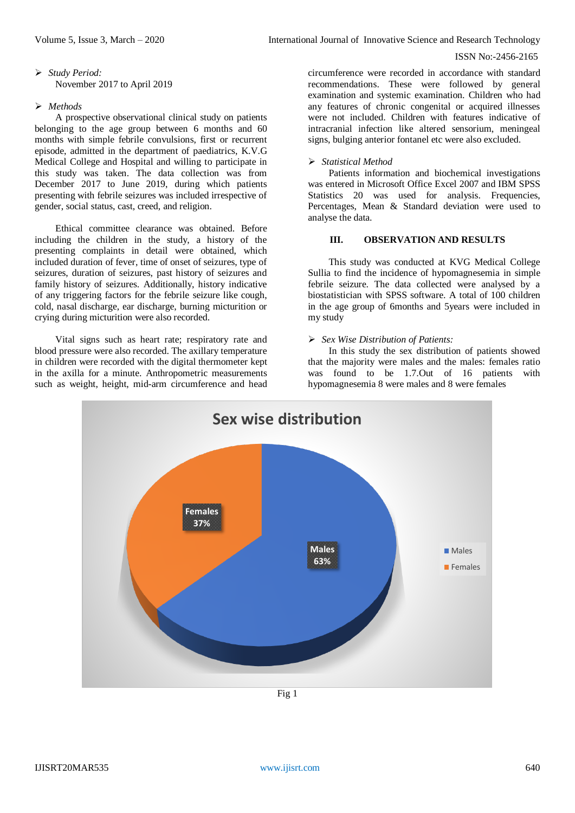## *Study Period:*  November 2017 to April 2019

## *Methods*

A prospective observational clinical study on patients belonging to the age group between 6 months and 60 months with simple febrile convulsions, first or recurrent episode, admitted in the department of paediatrics, K.V.G Medical College and Hospital and willing to participate in this study was taken. The data collection was from December 2017 to June 2019, during which patients presenting with febrile seizures was included irrespective of gender, social status, cast, creed, and religion.

Ethical committee clearance was obtained. Before including the children in the study, a history of the presenting complaints in detail were obtained, which included duration of fever, time of onset of seizures, type of seizures, duration of seizures, past history of seizures and family history of seizures. Additionally, history indicative of any triggering factors for the febrile seizure like cough, cold, nasal discharge, ear discharge, burning micturition or crying during micturition were also recorded.

Vital signs such as heart rate; respiratory rate and blood pressure were also recorded. The axillary temperature in children were recorded with the digital thermometer kept in the axilla for a minute. Anthropometric measurements such as weight, height, mid-arm circumference and head

circumference were recorded in accordance with standard recommendations. These were followed by general examination and systemic examination. Children who had any features of chronic congenital or acquired illnesses were not included. Children with features indicative of intracranial infection like altered sensorium, meningeal signs, bulging anterior fontanel etc were also excluded.

#### *Statistical Method*

Patients information and biochemical investigations was entered in Microsoft Office Excel 2007 and IBM SPSS Statistics 20 was used for analysis. Frequencies, Percentages, Mean & Standard deviation were used to analyse the data.

## **III. OBSERVATION AND RESULTS**

This study was conducted at KVG Medical College Sullia to find the incidence of hypomagnesemia in simple febrile seizure. The data collected were analysed by a biostatistician with SPSS software. A total of 100 children in the age group of 6months and 5years were included in my study

#### *Sex Wise Distribution of Patients:*

In this study the sex distribution of patients showed that the majority were males and the males: females ratio was found to be 1.7.Out of 16 patients with hypomagnesemia 8 were males and 8 were females



Fig 1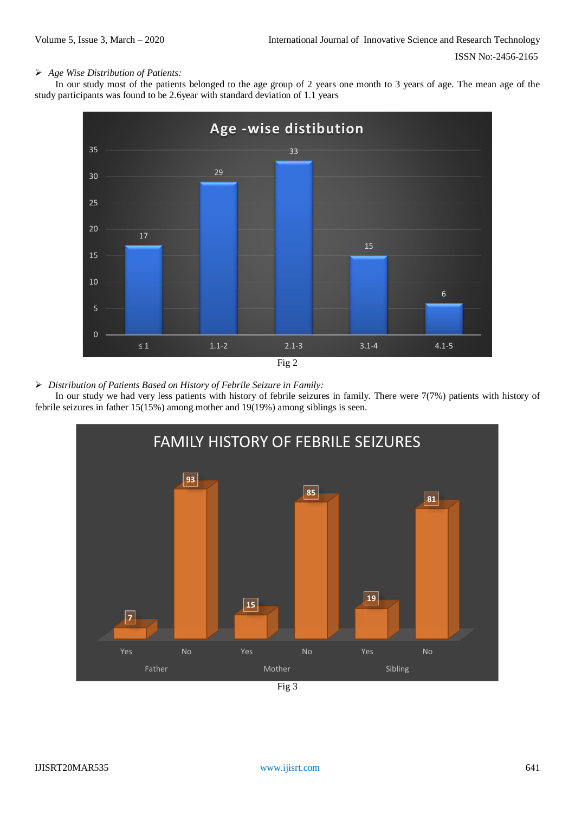## *Age Wise Distribution of Patients:*

In our study most of the patients belonged to the age group of 2 years one month to 3 years of age. The mean age of the study participants was found to be 2.6year with standard deviation of 1.1 years



*Distribution of Patients Based on History of Febrile Seizure in Family:*

In our study we had very less patients with history of febrile seizures in family. There were 7(7%) patients with history of febrile seizures in father 15(15%) among mother and 19(19%) among siblings is seen.



IJISRT20MAR535 [www.ijisrt.com](http://www.ijisrt.com/) 641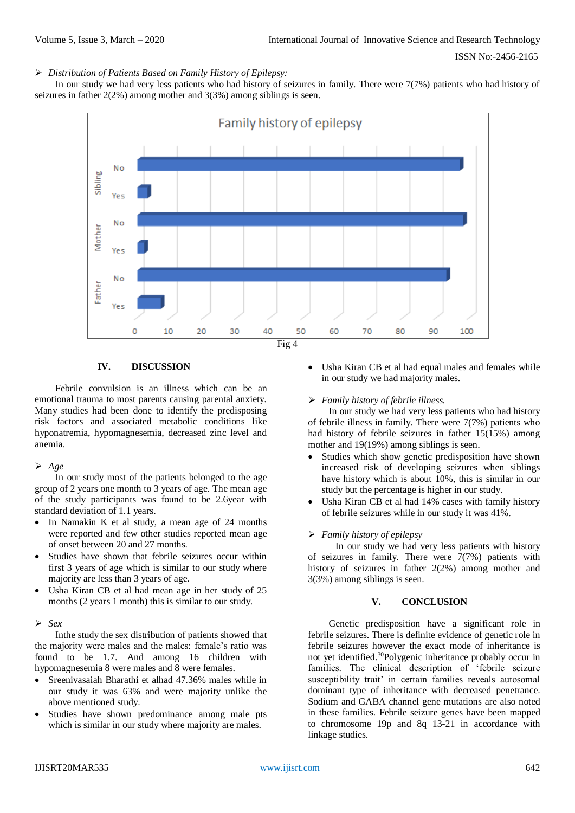## *Distribution of Patients Based on Family History of Epilepsy:*

In our study we had very less patients who had history of seizures in family. There were 7(7%) patients who had history of seizures in father 2(2%) among mother and 3(3%) among siblings is seen.



## **IV. DISCUSSION**

Febrile convulsion is an illness which can be an emotional trauma to most parents causing parental anxiety. Many studies had been done to identify the predisposing risk factors and associated metabolic conditions like hyponatremia, hypomagnesemia, decreased zinc level and anemia.

#### *Age*

In our study most of the patients belonged to the age group of 2 years one month to 3 years of age. The mean age of the study participants was found to be 2.6year with standard deviation of 1.1 years.

- In Namakin K et al study, a mean age of 24 months were reported and few other studies reported mean age of onset between 20 and 27 months.
- Studies have shown that febrile seizures occur within first 3 years of age which is similar to our study where majority are less than 3 years of age.
- Usha Kiran CB et al had mean age in her study of 25 months (2 years 1 month) this is similar to our study.

#### *Sex*

Inthe study the sex distribution of patients showed that the majority were males and the males: female's ratio was found to be 1.7. And among 16 children with hypomagnesemia 8 were males and 8 were females.

- Sreenivasaiah Bharathi et alhad 47.36% males while in our study it was 63% and were majority unlike the above mentioned study.
- Studies have shown predominance among male pts which is similar in our study where majority are males.

 Usha Kiran CB et al had equal males and females while in our study we had majority males.

#### *Family history of febrile illness.*

In our study we had very less patients who had history of febrile illness in family. There were 7(7%) patients who had history of febrile seizures in father 15(15%) among mother and 19(19%) among siblings is seen.

- Studies which show genetic predisposition have shown increased risk of developing seizures when siblings have history which is about 10%, this is similar in our study but the percentage is higher in our study.
- Usha Kiran CB et al had 14% cases with family history of febrile seizures while in our study it was 41%.

#### *Family history of epilepsy*

In our study we had very less patients with history of seizures in family. There were  $7(7%)$  patients with history of seizures in father 2(2%) among mother and 3(3%) among siblings is seen.

#### **V. CONCLUSION**

Genetic predisposition have a significant role in febrile seizures. There is definite evidence of genetic role in febrile seizures however the exact mode of inheritance is not yet identified. <sup>30</sup>Polygenic inheritance probably occur in families. The clinical description of 'febrile seizure susceptibility trait' in certain families reveals autosomal dominant type of inheritance with decreased penetrance. Sodium and GABA channel gene mutations are also noted in these families. Febrile seizure genes have been mapped to chromosome 19p and 8q 13-21 in accordance with linkage studies.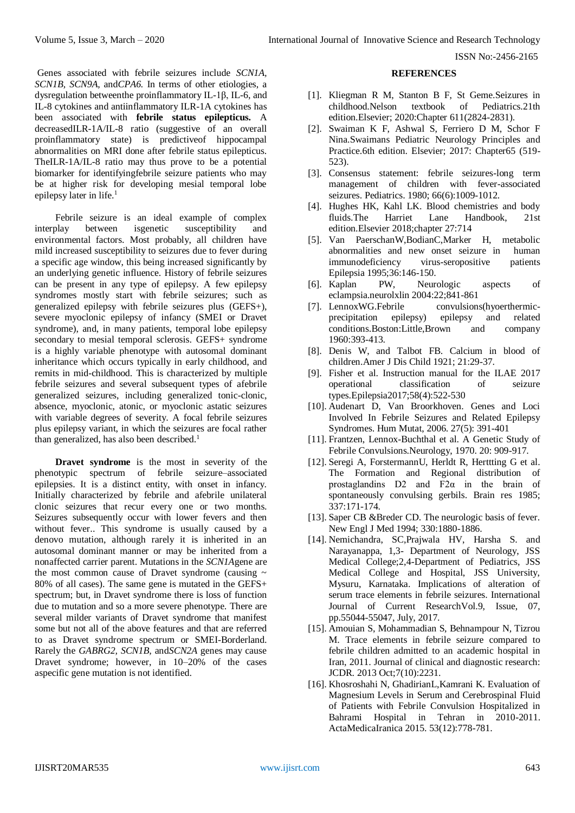Genes associated with febrile seizures include *SCN1A, SCN1B, SCN9A,* and*CPA6.* In terms of other etiologies, a dysregulation betweenthe proinflammatory IL-1β, IL-6, and IL-8 cytokines and antiinflammatory ILR-1A cytokines has been associated with **febrile status epilepticus.** A decreasedILR-1A/IL-8 ratio (suggestive of an overall proinflammatory state) is predictiveof hippocampal abnormalities on MRI done after febrile status epilepticus. TheILR-1A/IL-8 ratio may thus prove to be a potential biomarker for identifyingfebrile seizure patients who may be at higher risk for developing mesial temporal lobe epilepsy later in life.<sup>1</sup>

Febrile seizure is an ideal example of complex interplay between isgenetic susceptibility and environmental factors. Most probably, all children have mild increased susceptibility to seizures due to fever during a specific age window, this being increased significantly by an underlying genetic influence. History of febrile seizures can be present in any type of epilepsy. A few epilepsy syndromes mostly start with febrile seizures; such as generalized epilepsy with febrile seizures plus (GEFS+), severe myoclonic epilepsy of infancy (SMEI or Dravet syndrome), and, in many patients, temporal lobe epilepsy secondary to mesial temporal sclerosis. GEFS+ syndrome is a highly variable phenotype with autosomal dominant inheritance which occurs typically in early childhood, and remits in mid-childhood. This is characterized by multiple febrile seizures and several subsequent types of afebrile generalized seizures, including generalized tonic-clonic, absence, myoclonic, atonic, or myoclonic astatic seizures with variable degrees of severity. A focal febrile seizures plus epilepsy variant, in which the seizures are focal rather than generalized, has also been described.<sup>1</sup>

**Dravet syndrome** is the most in severity of the phenotypic spectrum of febrile seizure–associated epilepsies. It is a distinct entity, with onset in infancy. Initially characterized by febrile and afebrile unilateral clonic seizures that recur every one or two months. Seizures subsequently occur with lower fevers and then without fever.. This syndrome is usually caused by a denovo mutation, although rarely it is inherited in an autosomal dominant manner or may be inherited from a nonaffected carrier parent. Mutations in the *SCN1A*gene are the most common cause of Dravet syndrome (causing  $\sim$ 80% of all cases). The same gene is mutated in the GEFS+ spectrum; but, in Dravet syndrome there is loss of function due to mutation and so a more severe phenotype. There are several milder variants of Dravet syndrome that manifest some but not all of the above features and that are referred to as Dravet syndrome spectrum or SMEI-Borderland. Rarely the *GABRG2, SCN1B,* and*SCN2A* genes may cause Dravet syndrome; however, in 10–20% of the cases aspecific gene mutation is not identified.

## **REFERENCES**

- [1]. Kliegman R M, Stanton B F, St Geme.Seizures in childhood.Nelson textbook of Pediatrics.21th edition.Elsevier; 2020:Chapter 611(2824-2831).
- [2]. Swaiman K F, Ashwal S, Ferriero D M, Schor F Nina.Swaimans Pediatric Neurology Principles and Practice.6th edition. Elsevier; 2017: Chapter65 (519- 523).
- [3]. Consensus statement: febrile seizures-long term management of children with fever-associated seizures. Pediatrics. 1980; 66(6):1009-1012.
- [4]. Hughes HK, Kahl LK. Blood chemistries and body fluids.The Harriet Lane Handbook, 21st edition.Elsevier 2018;chapter 27:714
- [5]. Van PaerschanW,BodianC,Marker H, metabolic abnormalities and new onset seizure in human immunodeficiency virus-seropositive patients Epilepsia 1995;36:146-150.
- [6]. Kaplan PW, Neurologic aspects of eclampsia.neurolxlin 2004:22;841-861
- [7]. LennoxWG.Febrile convulsions(hyoerthermicprecipitation epilepsy) epilepsy and related conditions.Boston:Little,Brown and company 1960:393-413.
- [8]. Denis W, and Talbot FB. Calcium in blood of children.Amer J Dis Child 1921; 21:29-37.
- [9]. Fisher et al. Instruction manual for the ILAE 2017 operational classification of seizure types.Epilepsia2017;58(4):522-530
- [10]. Audenart D, Van Broorkhoven. Genes and Loci Involved In Febrile Seizures and Related Epilepsy Syndromes. Hum Mutat, 2006. 27(5): 391-401
- [11]. Frantzen, Lennox-Buchthal et al. A Genetic Study of Febrile Convulsions.Neurology, 1970. 20: 909-917.
- [12]. Seregi A, ForstermannU, Herldt R, Herttting G et al. The Formation and Regional distribution of prostaglandins  $D2$  and  $F2\alpha$  in the brain of spontaneously convulsing gerbils. Brain res 1985; 337:171-174.
- [13]. Saper CB &Breder CD. The neurologic basis of fever. New Engl J Med 1994; 330:1880-1886.
- [14]. Nemichandra, SC,Prajwala HV, Harsha S. and Narayanappa, 1,3- Department of Neurology, JSS Medical College;2,4-Department of Pediatrics, JSS Medical College and Hospital, JSS University, Mysuru, Karnataka. Implications of alteration of serum trace elements in febrile seizures. International Journal of Current ResearchVol.9, Issue, 07, pp.55044-55047, July, 2017.
- [15]. Amouian S, Mohammadian S, Behnampour N, Tizrou M. Trace elements in febrile seizure compared to febrile children admitted to an academic hospital in Iran, 2011. Journal of clinical and diagnostic research: JCDR. 2013 Oct;7(10):2231.
- [16]. Khosroshahi N, GhadirianL,Kamrani K. Evaluation of Magnesium Levels in Serum and Cerebrospinal Fluid of Patients with Febrile Convulsion Hospitalized in Bahrami Hospital in Tehran in 2010-2011. ActaMedicaIranica 2015. 53(12):778-781.